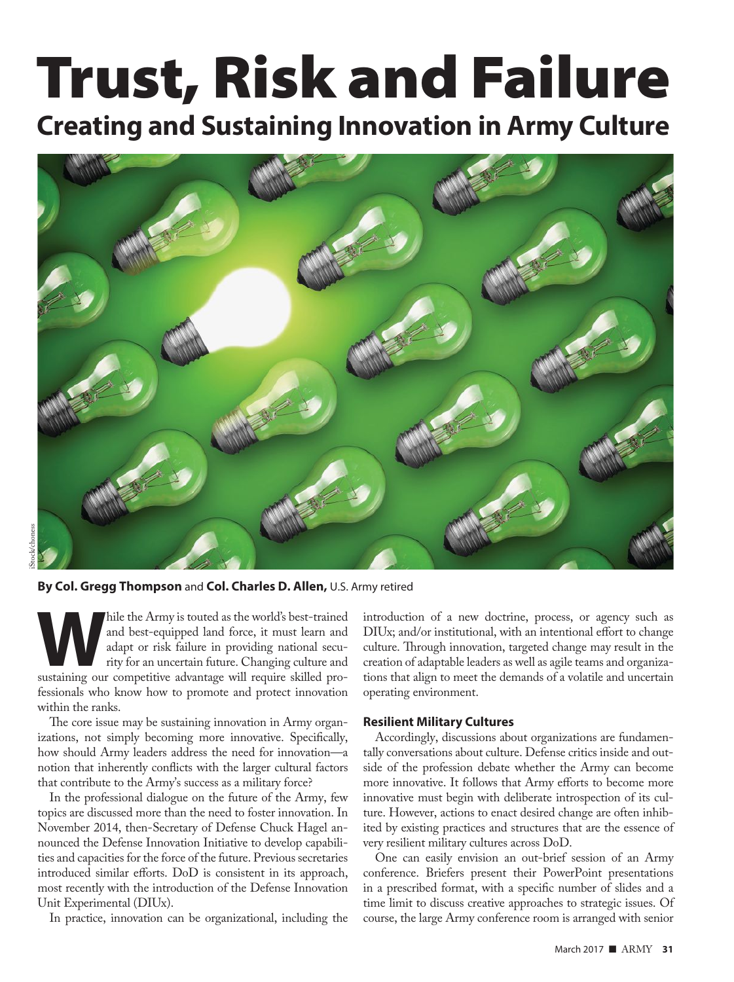# Trust, Risk and Failure

# **Creating and Sustaining Innovation in Army Culture**



**By Col. Gregg Thompson** and **Col. Charles D. Allen,** U.S. Army retired

hile the Army is touted as the world's best-trained and best-equipped land force, it must learn and adapt or risk failure in providing national security for an uncertain future. Changing culture and sustaining our competit and best-equipped land force, it must learn and adapt or risk failure in providing national security for an uncertain future. Changing culture and fessionals who know how to promote and protect innovation within the ranks.

The core issue may be sustaining innovation in Army organizations, not simply becoming more innovative. Specifically, how should Army leaders address the need for innovation—a notion that inherently conflicts with the larger cultural factors that contribute to the Army's success as a military force?

In the professional dialogue on the future of the Army, few topics are discussed more than the need to foster innovation. In November 2014, then-Secretary of Defense Chuck Hagel announced the Defense Innovation Initiative to develop capabilities and capacities for the force of the future. Previous secretaries introduced similar efforts. DoD is consistent in its approach, most recently with the introduction of the Defense Innovation Unit Experimental (DIUx).

In practice, innovation can be organizational, including the

introduction of a new doctrine, process, or agency such as DIUx; and/or institutional, with an intentional effort to change culture. Through innovation, targeted change may result in the creation of adaptable leaders as well as agile teams and organizations that align to meet the demands of a volatile and uncertain operating environment.

#### **Resilient Military Cultures**

Accordingly, discussions about organizations are fundamentally conversations about culture. Defense critics inside and outside of the profession debate whether the Army can become more innovative. It follows that Army efforts to become more innovative must begin with deliberate introspection of its culture. However, actions to enact desired change are often inhibited by existing practices and structures that are the essence of very resilient military cultures across DoD.

One can easily envision an out-brief session of an Army conference. Briefers present their PowerPoint presentations in a prescribed format, with a specific number of slides and a time limit to discuss creative approaches to strategic issues. Of course, the large Army conference room is arranged with senior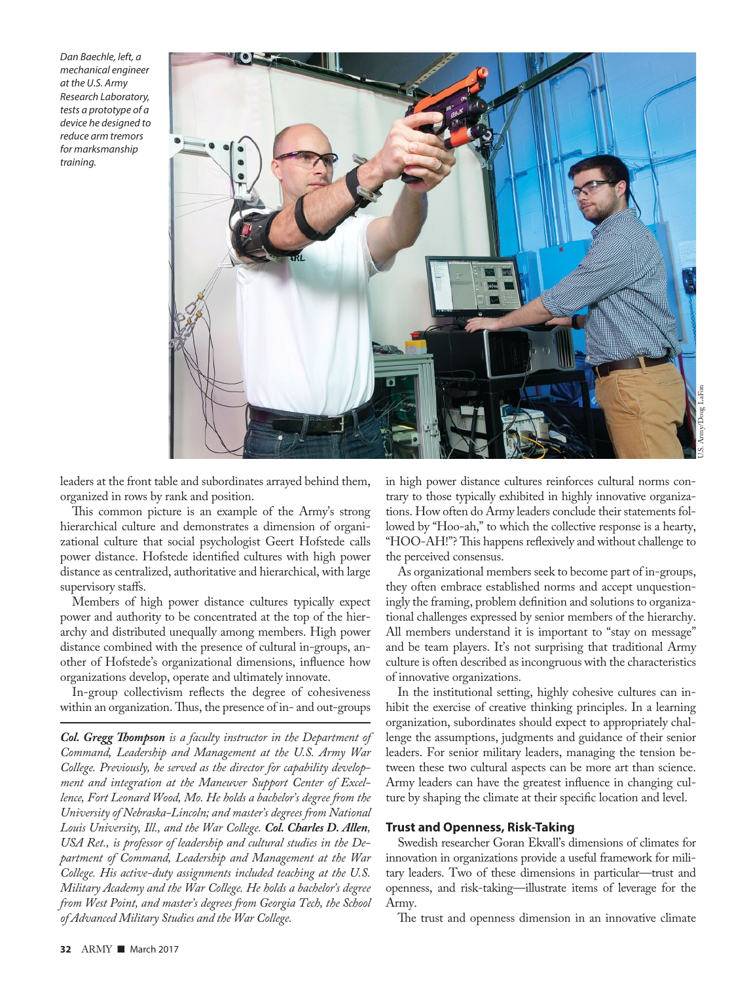Dan Baechle, left, a mechanical engineer at the U.S. Army Research Laboratory, tests a prototype of a device he designed to reduce arm tremors for marksmanship training.



leaders at the front table and subordinates arrayed behind them, organized in rows by rank and position.

This common picture is an example of the Army's strong hierarchical culture and demonstrates a dimension of organizational culture that social psychologist Geert Hofstede calls power distance. Hofstede identified cultures with high power distance as centralized, authoritative and hierarchical, with large supervisory staffs.

Members of high power distance cultures typically expect power and authority to be concentrated at the top of the hierarchy and distributed unequally among members. High power distance combined with the presence of cultural in-groups, another of Hofstede's organizational dimensions, influence how organizations develop, operate and ultimately innovate.

In-group collectivism reflects the degree of cohesiveness within an organization. Thus, the presence of in- and out-groups

*Col. Gregg Thompson is a faculty instructor in the Department of Command, Leadership and Management at the U.S. Army War College. Previously, he served as the director for capability development and integration at the Maneuver Support Center of Excellence, Fort Leonard Wood, Mo. He holds a bachelor's degree from the University of Nebraska-Lincoln; and master's degrees from National Louis University, Ill., and the War College. Col. Charles D. Allen, USA Ret., is professor of leadership and cultural studies in the Department of Command, Leadership and Management at the War College. His active-duty assignments included teaching at the U.S. Military Academy and the War College. He holds a bachelor's degree from West Point, and master's degrees from Georgia Tech, the School of Advanced Military Studies and the War College.*

in high power distance cultures reinforces cultural norms contrary to those typically exhibited in highly innovative organizations. How often do Army leaders conclude their statements followed by "Hoo-ah," to which the collective response is a hearty, "HOO-AH!"? This happens reflexively and without challenge to the perceived consensus.

As organizational members seek to become part of in-groups, they often embrace established norms and accept unquestioningly the framing, problem definition and solutions to organizational challenges expressed by senior members of the hierarchy. All members understand it is important to "stay on message" and be team players. It's not surprising that traditional Army culture is often described as incongruous with the characteristics of innovative organizations.

In the institutional setting, highly cohesive cultures can inhibit the exercise of creative thinking principles. In a learning organization, subordinates should expect to appropriately challenge the assumptions, judgments and guidance of their senior leaders. For senior military leaders, managing the tension between these two cultural aspects can be more art than science. Army leaders can have the greatest influence in changing culture by shaping the climate at their specific location and level.

## **Trust and Openness, Risk-Taking**

Swedish researcher Goran Ekvall's dimensions of climates for innovation in organizations provide a useful framework for military leaders. Two of these dimensions in particular—trust and openness, and risk-taking—illustrate items of leverage for the Army.

The trust and openness dimension in an innovative climate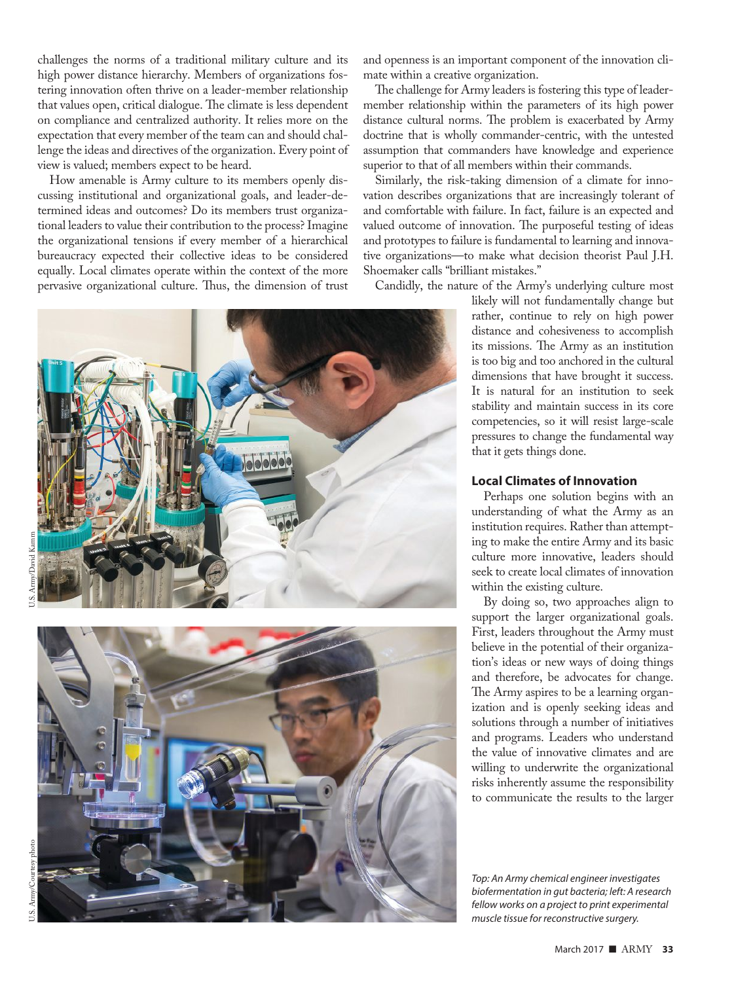challenges the norms of a traditional military culture and its high power distance hierarchy. Members of organizations fostering innovation often thrive on a leader-member relationship that values open, critical dialogue. The climate is less dependent on compliance and centralized authority. It relies more on the expectation that every member of the team can and should challenge the ideas and directives of the organization. Every point of view is valued; members expect to be heard.

How amenable is Army culture to its members openly discussing institutional and organizational goals, and leader-determined ideas and outcomes? Do its members trust organizational leaders to value their contribution to the process? Imagine the organizational tensions if every member of a hierarchical bureaucracy expected their collective ideas to be considered equally. Local climates operate within the context of the more pervasive organizational culture. Thus, the dimension of trust





and openness is an important component of the innovation climate within a creative organization.

The challenge for Army leaders is fostering this type of leadermember relationship within the parameters of its high power distance cultural norms. The problem is exacerbated by Army doctrine that is wholly commander-centric, with the untested assumption that commanders have knowledge and experience superior to that of all members within their commands.

Similarly, the risk-taking dimension of a climate for innovation describes organizations that are increasingly tolerant of and comfortable with failure. In fact, failure is an expected and valued outcome of innovation. The purposeful testing of ideas and prototypes to failure is fundamental to learning and innovative organizations—to make what decision theorist Paul J.H. Shoemaker calls "brilliant mistakes."

Candidly, the nature of the Army's underlying culture most

likely will not fundamentally change but rather, continue to rely on high power distance and cohesiveness to accomplish its missions. The Army as an institution is too big and too anchored in the cultural dimensions that have brought it success. It is natural for an institution to seek stability and maintain success in its core competencies, so it will resist large-scale pressures to change the fundamental way that it gets things done.

### **Local Climates of Innovation**

Perhaps one solution begins with an understanding of what the Army as an institution requires. Rather than attempting to make the entire Army and its basic culture more innovative, leaders should seek to create local climates of innovation within the existing culture.

By doing so, two approaches align to support the larger organizational goals. First, leaders throughout the Army must believe in the potential of their organization's ideas or new ways of doing things and therefore, be advocates for change. The Army aspires to be a learning organization and is openly seeking ideas and solutions through a number of initiatives and programs. Leaders who understand the value of innovative climates and are willing to underwrite the organizational risks inherently assume the responsibility to communicate the results to the larger

Top: An Army chemical engineer investigates biofermentation in gut bacteria; left: A research fellow works on a project to print experimental muscle tissue for reconstructive surgery.